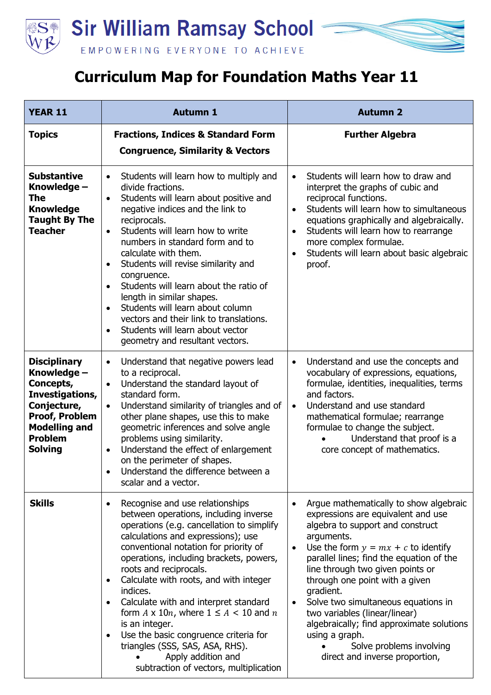

## **Curriculum Map for Foundation Maths Year 11**

| <b>YEAR 11</b>                                                                                                                                                  | <b>Autumn 1</b>                                                                                                                                                                                                                                                                                                                                                                                                                                                                                                                                                                                                            | <b>Autumn 2</b>                                                                                                                                                                                                                                                                                                                                                                                                                                                                                                                       |
|-----------------------------------------------------------------------------------------------------------------------------------------------------------------|----------------------------------------------------------------------------------------------------------------------------------------------------------------------------------------------------------------------------------------------------------------------------------------------------------------------------------------------------------------------------------------------------------------------------------------------------------------------------------------------------------------------------------------------------------------------------------------------------------------------------|---------------------------------------------------------------------------------------------------------------------------------------------------------------------------------------------------------------------------------------------------------------------------------------------------------------------------------------------------------------------------------------------------------------------------------------------------------------------------------------------------------------------------------------|
| <b>Topics</b>                                                                                                                                                   | <b>Fractions, Indices &amp; Standard Form</b><br><b>Congruence, Similarity &amp; Vectors</b>                                                                                                                                                                                                                                                                                                                                                                                                                                                                                                                               | <b>Further Algebra</b>                                                                                                                                                                                                                                                                                                                                                                                                                                                                                                                |
| <b>Substantive</b><br>Knowledge -<br>The<br><b>Knowledge</b><br><b>Taught By The</b><br><b>Teacher</b>                                                          | Students will learn how to multiply and<br>$\bullet$<br>divide fractions.<br>Students will learn about positive and<br>$\bullet$<br>negative indices and the link to<br>reciprocals.<br>Students will learn how to write<br>$\bullet$<br>numbers in standard form and to<br>calculate with them.<br>Students will revise similarity and<br>$\bullet$<br>congruence.<br>Students will learn about the ratio of<br>length in similar shapes.<br>Students will learn about column<br>$\bullet$<br>vectors and their link to translations.<br>Students will learn about vector<br>$\bullet$<br>geometry and resultant vectors. | Students will learn how to draw and<br>$\bullet$<br>interpret the graphs of cubic and<br>reciprocal functions.<br>Students will learn how to simultaneous<br>$\bullet$<br>equations graphically and algebraically.<br>Students will learn how to rearrange<br>$\bullet$<br>more complex formulae.<br>Students will learn about basic algebraic<br>$\bullet$<br>proof.                                                                                                                                                                 |
| <b>Disciplinary</b><br>Knowledge -<br>Concepts,<br>Investigations,<br>Conjecture,<br>Proof, Problem<br><b>Modelling and</b><br><b>Problem</b><br><b>Solving</b> | Understand that negative powers lead<br>$\bullet$<br>to a reciprocal.<br>Understand the standard layout of<br>$\bullet$<br>standard form.<br>Understand similarity of triangles and of<br>$\bullet$<br>other plane shapes, use this to make<br>geometric inferences and solve angle<br>problems using similarity.<br>Understand the effect of enlargement<br>on the perimeter of shapes.<br>Understand the difference between a<br>scalar and a vector.                                                                                                                                                                    | Understand and use the concepts and<br>$\bullet$<br>vocabulary of expressions, equations,<br>formulae, identities, inequalities, terms<br>and factors.<br>Understand and use standard<br>$\bullet$<br>mathematical formulae; rearrange<br>formulae to change the subject.<br>Understand that proof is a<br>core concept of mathematics.                                                                                                                                                                                               |
| <b>Skills</b>                                                                                                                                                   | Recognise and use relationships<br>$\bullet$<br>between operations, including inverse<br>operations (e.g. cancellation to simplify<br>calculations and expressions); use<br>conventional notation for priority of<br>operations, including brackets, powers,<br>roots and reciprocals.<br>Calculate with roots, and with integer<br>indices.<br>Calculate with and interpret standard<br>form $A \times 10n$ , where $1 \le A < 10$ and $n$<br>is an integer.<br>Use the basic congruence criteria for<br>triangles (SSS, SAS, ASA, RHS).<br>Apply addition and<br>subtraction of vectors, multiplication                  | Argue mathematically to show algebraic<br>$\bullet$<br>expressions are equivalent and use<br>algebra to support and construct<br>arguments.<br>Use the form $y = mx + c$ to identify<br>$\bullet$<br>parallel lines; find the equation of the<br>line through two given points or<br>through one point with a given<br>gradient.<br>Solve two simultaneous equations in<br>two variables (linear/linear)<br>algebraically; find approximate solutions<br>using a graph.<br>Solve problems involving<br>direct and inverse proportion, |